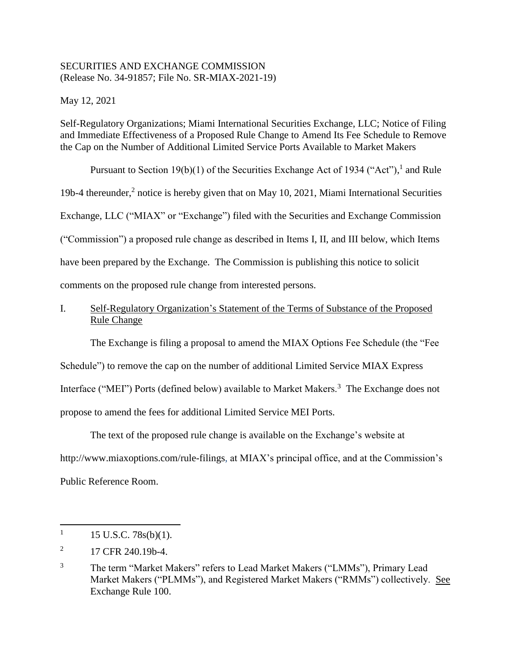## SECURITIES AND EXCHANGE COMMISSION (Release No. 34-91857; File No. SR-MIAX-2021-19)

May 12, 2021

Self-Regulatory Organizations; Miami International Securities Exchange, LLC; Notice of Filing and Immediate Effectiveness of a Proposed Rule Change to Amend Its Fee Schedule to Remove the Cap on the Number of Additional Limited Service Ports Available to Market Makers

Pursuant to Section 19(b)(1) of the Securities Exchange Act of 1934 ("Act"), and Rule 19b-4 thereunder,<sup>2</sup> notice is hereby given that on May 10, 2021, Miami International Securities Exchange, LLC ("MIAX" or "Exchange") filed with the Securities and Exchange Commission ("Commission") a proposed rule change as described in Items I, II, and III below, which Items have been prepared by the Exchange. The Commission is publishing this notice to solicit comments on the proposed rule change from interested persons.

# I. Self-Regulatory Organization's Statement of the Terms of Substance of the Proposed Rule Change

The Exchange is filing a proposal to amend the MIAX Options Fee Schedule (the "Fee Schedule") to remove the cap on the number of additional Limited Service MIAX Express Interface ("MEI") Ports (defined below) available to Market Makers.<sup>3</sup> The Exchange does not propose to amend the fees for additional Limited Service MEI Ports.

The text of the proposed rule change is available on the Exchange's website at http://www.miaxoptions.com/rule-filings, at MIAX's principal office, and at the Commission's Public Reference Room.

 $\overline{\phantom{a}}$ 

<sup>1</sup> 15 U.S.C. 78s(b)(1).

<sup>2</sup> 17 CFR 240.19b-4.

<sup>&</sup>lt;sup>3</sup> The term "Market Makers" refers to Lead Market Makers ("LMMs"), Primary Lead Market Makers ("PLMMs"), and Registered Market Makers ("RMMs") collectively. See Exchange Rule 100.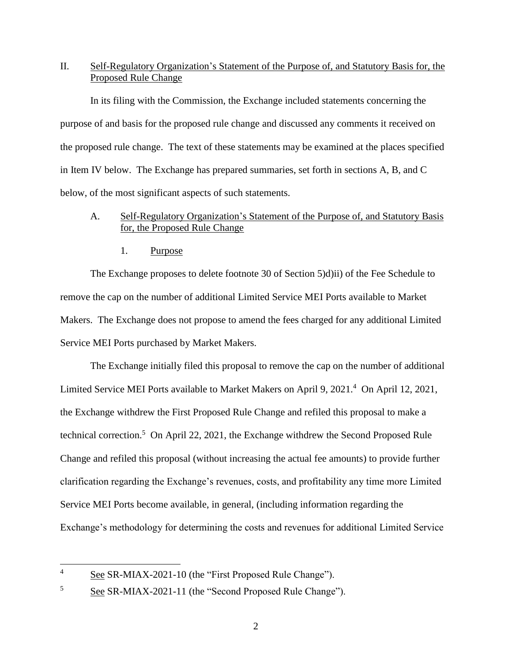# II. Self-Regulatory Organization's Statement of the Purpose of, and Statutory Basis for, the Proposed Rule Change

In its filing with the Commission, the Exchange included statements concerning the purpose of and basis for the proposed rule change and discussed any comments it received on the proposed rule change. The text of these statements may be examined at the places specified in Item IV below. The Exchange has prepared summaries, set forth in sections A, B, and C below, of the most significant aspects of such statements.

# A. Self-Regulatory Organization's Statement of the Purpose of, and Statutory Basis for, the Proposed Rule Change

1. Purpose

The Exchange proposes to delete footnote 30 of Section 5)d)ii) of the Fee Schedule to remove the cap on the number of additional Limited Service MEI Ports available to Market Makers. The Exchange does not propose to amend the fees charged for any additional Limited Service MEI Ports purchased by Market Makers.

The Exchange initially filed this proposal to remove the cap on the number of additional Limited Service MEI Ports available to Market Makers on April 9, 2021.<sup>4</sup> On April 12, 2021, the Exchange withdrew the First Proposed Rule Change and refiled this proposal to make a technical correction.<sup>5</sup> On April 22, 2021, the Exchange withdrew the Second Proposed Rule Change and refiled this proposal (without increasing the actual fee amounts) to provide further clarification regarding the Exchange's revenues, costs, and profitability any time more Limited Service MEI Ports become available, in general, (including information regarding the Exchange's methodology for determining the costs and revenues for additional Limited Service

 $\overline{4}$ See SR-MIAX-2021-10 (the "First Proposed Rule Change").

<sup>&</sup>lt;sup>5</sup> See SR-MIAX-2021-11 (the "Second Proposed Rule Change").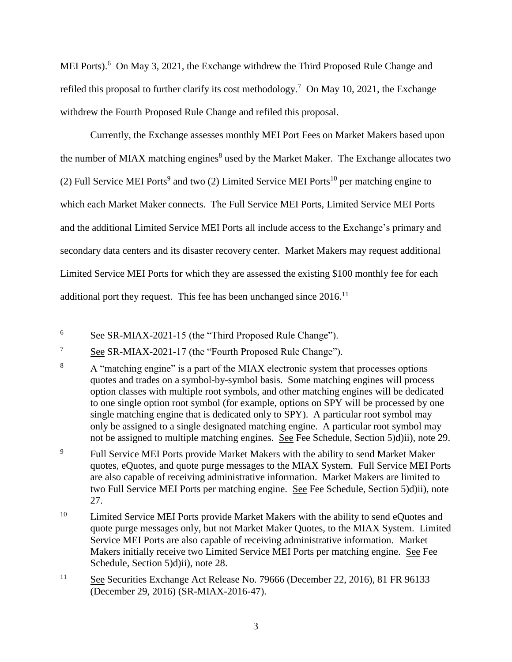MEI Ports).<sup>6</sup> On May 3, 2021, the Exchange withdrew the Third Proposed Rule Change and refiled this proposal to further clarify its cost methodology.<sup>7</sup> On May 10, 2021, the Exchange withdrew the Fourth Proposed Rule Change and refiled this proposal.

Currently, the Exchange assesses monthly MEI Port Fees on Market Makers based upon the number of MIAX matching engines<sup>8</sup> used by the Market Maker. The Exchange allocates two (2) Full Service MEI Ports<sup>9</sup> and two (2) Limited Service MEI Ports<sup>10</sup> per matching engine to which each Market Maker connects. The Full Service MEI Ports, Limited Service MEI Ports and the additional Limited Service MEI Ports all include access to the Exchange's primary and secondary data centers and its disaster recovery center. Market Makers may request additional Limited Service MEI Ports for which they are assessed the existing \$100 monthly fee for each additional port they request. This fee has been unchanged since  $2016$ .<sup>11</sup>

<sup>9</sup> Full Service MEI Ports provide Market Makers with the ability to send Market Maker quotes, eQuotes, and quote purge messages to the MIAX System. Full Service MEI Ports are also capable of receiving administrative information. Market Makers are limited to two Full Service MEI Ports per matching engine. See Fee Schedule, Section 5)d)ii), note 27.

 $\overline{6}$ See SR-MIAX-2021-15 (the "Third Proposed Rule Change").

 $\frac{7}{10}$  See SR-MIAX-2021-17 (the "Fourth Proposed Rule Change").

<sup>&</sup>lt;sup>8</sup> A "matching engine" is a part of the MIAX electronic system that processes options quotes and trades on a symbol-by-symbol basis. Some matching engines will process option classes with multiple root symbols, and other matching engines will be dedicated to one single option root symbol (for example, options on SPY will be processed by one single matching engine that is dedicated only to SPY). A particular root symbol may only be assigned to a single designated matching engine. A particular root symbol may not be assigned to multiple matching engines. See Fee Schedule, Section 5)d)ii), note 29.

<sup>&</sup>lt;sup>10</sup> Limited Service MEI Ports provide Market Makers with the ability to send eQuotes and quote purge messages only, but not Market Maker Quotes, to the MIAX System. Limited Service MEI Ports are also capable of receiving administrative information. Market Makers initially receive two Limited Service MEI Ports per matching engine. See Fee Schedule, Section 5)d)ii), note 28.

<sup>11</sup> See Securities Exchange Act Release No. 79666 (December 22, 2016), 81 FR 96133 (December 29, 2016) (SR-MIAX-2016-47).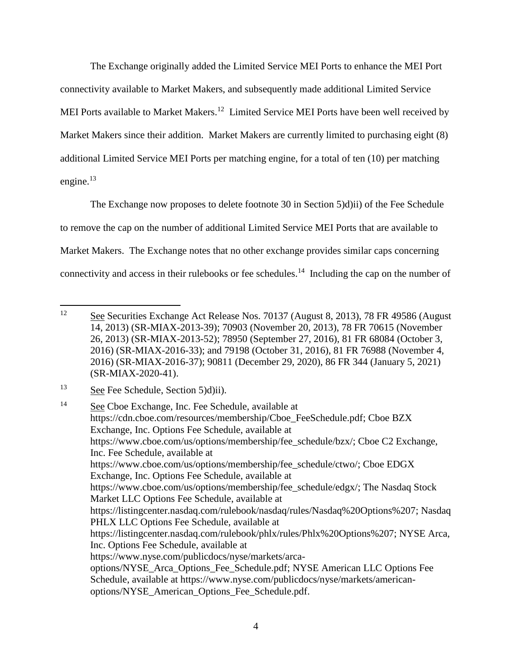The Exchange originally added the Limited Service MEI Ports to enhance the MEI Port connectivity available to Market Makers, and subsequently made additional Limited Service MEI Ports available to Market Makers.<sup>12</sup> Limited Service MEI Ports have been well received by Market Makers since their addition. Market Makers are currently limited to purchasing eight (8) additional Limited Service MEI Ports per matching engine, for a total of ten (10) per matching engine. $^{13}$ 

The Exchange now proposes to delete footnote 30 in Section 5)d)ii) of the Fee Schedule to remove the cap on the number of additional Limited Service MEI Ports that are available to Market Makers. The Exchange notes that no other exchange provides similar caps concerning connectivity and access in their rulebooks or fee schedules.<sup>14</sup> Including the cap on the number of

<sup>12</sup> See Securities Exchange Act Release Nos. 70137 (August 8, 2013), 78 FR 49586 (August 14, 2013) (SR-MIAX-2013-39); 70903 (November 20, 2013), 78 FR 70615 (November 26, 2013) (SR-MIAX-2013-52); 78950 (September 27, 2016), 81 FR 68084 (October 3, 2016) (SR-MIAX-2016-33); and 79198 (October 31, 2016), 81 FR 76988 (November 4, 2016) (SR-MIAX-2016-37); 90811 (December 29, 2020), 86 FR 344 (January 5, 2021) (SR-MIAX-2020-41).

<sup>13</sup> See Fee Schedule, Section 5)d)ii).

<sup>&</sup>lt;sup>14</sup> See Cboe Exchange, Inc. Fee Schedule, available at https://cdn.cboe.com/resources/membership/Cboe\_FeeSchedule.pdf; Cboe BZX Exchange, Inc. Options Fee Schedule, available at https://www.cboe.com/us/options/membership/fee\_schedule/bzx/; Cboe C2 Exchange, Inc. Fee Schedule, available at https://www.cboe.com/us/options/membership/fee\_schedule/ctwo/; Cboe EDGX Exchange, Inc. Options Fee Schedule, available at https://www.cboe.com/us/options/membership/fee\_schedule/edgx/; The Nasdaq Stock Market LLC Options Fee Schedule, available at https://listingcenter.nasdaq.com/rulebook/nasdaq/rules/Nasdaq%20Options%207; Nasdaq PHLX LLC Options Fee Schedule, available at https://listingcenter.nasdaq.com/rulebook/phlx/rules/Phlx%20Options%207; NYSE Arca, Inc. Options Fee Schedule, available at https://www.nyse.com/publicdocs/nyse/markets/arcaoptions/NYSE\_Arca\_Options\_Fee\_Schedule.pdf; NYSE American LLC Options Fee Schedule, available at https://www.nyse.com/publicdocs/nyse/markets/americanoptions/NYSE\_American\_Options\_Fee\_Schedule.pdf.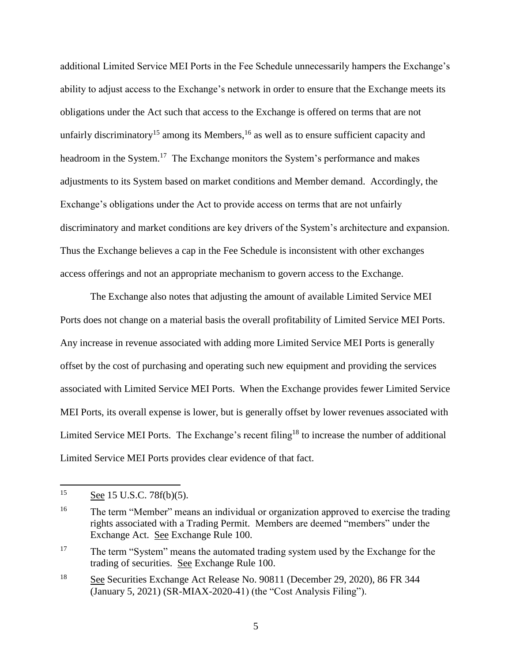additional Limited Service MEI Ports in the Fee Schedule unnecessarily hampers the Exchange's ability to adjust access to the Exchange's network in order to ensure that the Exchange meets its obligations under the Act such that access to the Exchange is offered on terms that are not unfairly discriminatory<sup>15</sup> among its Members,  $16$  as well as to ensure sufficient capacity and headroom in the System.<sup>17</sup> The Exchange monitors the System's performance and makes adjustments to its System based on market conditions and Member demand. Accordingly, the Exchange's obligations under the Act to provide access on terms that are not unfairly discriminatory and market conditions are key drivers of the System's architecture and expansion. Thus the Exchange believes a cap in the Fee Schedule is inconsistent with other exchanges access offerings and not an appropriate mechanism to govern access to the Exchange.

The Exchange also notes that adjusting the amount of available Limited Service MEI Ports does not change on a material basis the overall profitability of Limited Service MEI Ports. Any increase in revenue associated with adding more Limited Service MEI Ports is generally offset by the cost of purchasing and operating such new equipment and providing the services associated with Limited Service MEI Ports. When the Exchange provides fewer Limited Service MEI Ports, its overall expense is lower, but is generally offset by lower revenues associated with Limited Service MEI Ports. The Exchange's recent filing<sup>18</sup> to increase the number of additional Limited Service MEI Ports provides clear evidence of that fact.

 $15$ See 15 U.S.C. 78f(b)(5).

<sup>&</sup>lt;sup>16</sup> The term "Member" means an individual or organization approved to exercise the trading rights associated with a Trading Permit. Members are deemed "members" under the Exchange Act. See Exchange Rule 100.

<sup>&</sup>lt;sup>17</sup> The term "System" means the automated trading system used by the Exchange for the trading of securities. See Exchange Rule 100.

<sup>18</sup> See Securities Exchange Act Release No. 90811 (December 29, 2020), 86 FR 344 (January 5, 2021) (SR-MIAX-2020-41) (the "Cost Analysis Filing").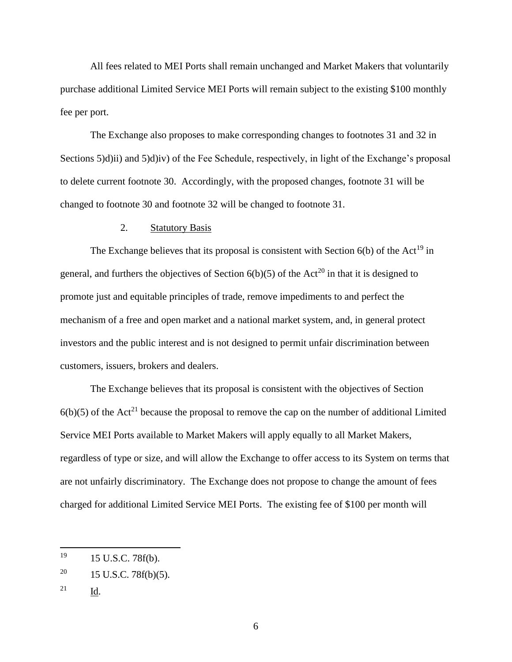All fees related to MEI Ports shall remain unchanged and Market Makers that voluntarily purchase additional Limited Service MEI Ports will remain subject to the existing \$100 monthly fee per port.

The Exchange also proposes to make corresponding changes to footnotes 31 and 32 in Sections 5)d)ii) and 5)d)iv) of the Fee Schedule, respectively, in light of the Exchange's proposal to delete current footnote 30. Accordingly, with the proposed changes, footnote 31 will be changed to footnote 30 and footnote 32 will be changed to footnote 31.

#### 2. Statutory Basis

The Exchange believes that its proposal is consistent with Section  $6(b)$  of the Act<sup>19</sup> in general, and furthers the objectives of Section  $6(b)(5)$  of the Act<sup>20</sup> in that it is designed to promote just and equitable principles of trade, remove impediments to and perfect the mechanism of a free and open market and a national market system, and, in general protect investors and the public interest and is not designed to permit unfair discrimination between customers, issuers, brokers and dealers.

The Exchange believes that its proposal is consistent with the objectives of Section  $6(b)(5)$  of the Act<sup>21</sup> because the proposal to remove the cap on the number of additional Limited Service MEI Ports available to Market Makers will apply equally to all Market Makers, regardless of type or size, and will allow the Exchange to offer access to its System on terms that are not unfairly discriminatory. The Exchange does not propose to change the amount of fees charged for additional Limited Service MEI Ports. The existing fee of \$100 per month will

<sup>21</sup> Id.

<sup>19</sup> <sup>19</sup> 15 U.S.C. 78f(b).

<sup>&</sup>lt;sup>20</sup> 15 U.S.C. 78 $f(b)(5)$ .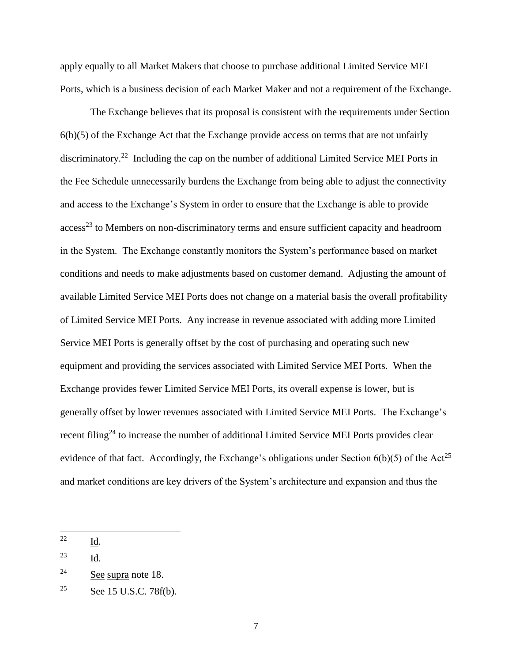apply equally to all Market Makers that choose to purchase additional Limited Service MEI Ports, which is a business decision of each Market Maker and not a requirement of the Exchange.

The Exchange believes that its proposal is consistent with the requirements under Section  $6(b)(5)$  of the Exchange Act that the Exchange provide access on terms that are not unfairly discriminatory.<sup>22</sup> Including the cap on the number of additional Limited Service MEI Ports in the Fee Schedule unnecessarily burdens the Exchange from being able to adjust the connectivity and access to the Exchange's System in order to ensure that the Exchange is able to provide access<sup>23</sup> to Members on non-discriminatory terms and ensure sufficient capacity and headroom in the System. The Exchange constantly monitors the System's performance based on market conditions and needs to make adjustments based on customer demand. Adjusting the amount of available Limited Service MEI Ports does not change on a material basis the overall profitability of Limited Service MEI Ports. Any increase in revenue associated with adding more Limited Service MEI Ports is generally offset by the cost of purchasing and operating such new equipment and providing the services associated with Limited Service MEI Ports. When the Exchange provides fewer Limited Service MEI Ports, its overall expense is lower, but is generally offset by lower revenues associated with Limited Service MEI Ports. The Exchange's recent filing<sup>24</sup> to increase the number of additional Limited Service MEI Ports provides clear evidence of that fact. Accordingly, the Exchange's obligations under Section  $6(b)(5)$  of the Act<sup>25</sup> and market conditions are key drivers of the System's architecture and expansion and thus the

<sup>22</sup> Id.

<sup>23</sup> Id.

 $24$  See supra note 18.

<sup>&</sup>lt;sup>25</sup> See 15 U.S.C. 78 $f(b)$ .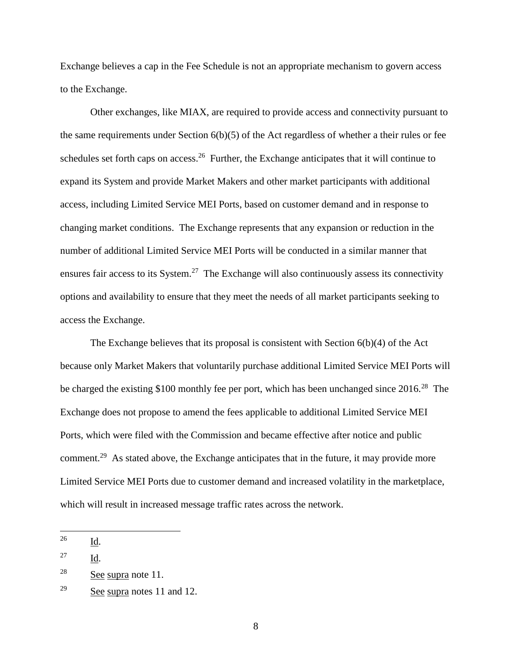Exchange believes a cap in the Fee Schedule is not an appropriate mechanism to govern access to the Exchange.

Other exchanges, like MIAX, are required to provide access and connectivity pursuant to the same requirements under Section  $6(b)(5)$  of the Act regardless of whether a their rules or fee schedules set forth caps on access.<sup>26</sup> Further, the Exchange anticipates that it will continue to expand its System and provide Market Makers and other market participants with additional access, including Limited Service MEI Ports, based on customer demand and in response to changing market conditions. The Exchange represents that any expansion or reduction in the number of additional Limited Service MEI Ports will be conducted in a similar manner that ensures fair access to its System.<sup>27</sup> The Exchange will also continuously assess its connectivity options and availability to ensure that they meet the needs of all market participants seeking to access the Exchange.

The Exchange believes that its proposal is consistent with Section 6(b)(4) of the Act because only Market Makers that voluntarily purchase additional Limited Service MEI Ports will be charged the existing \$100 monthly fee per port, which has been unchanged since  $2016<sup>28</sup>$  The Exchange does not propose to amend the fees applicable to additional Limited Service MEI Ports, which were filed with the Commission and became effective after notice and public comment.<sup>29</sup> As stated above, the Exchange anticipates that in the future, it may provide more Limited Service MEI Ports due to customer demand and increased volatility in the marketplace, which will result in increased message traffic rates across the network.

<sup>27</sup> Id.

<sup>26</sup> Id.

 $28$  See supra note 11.

 $29$  See supra notes 11 and 12.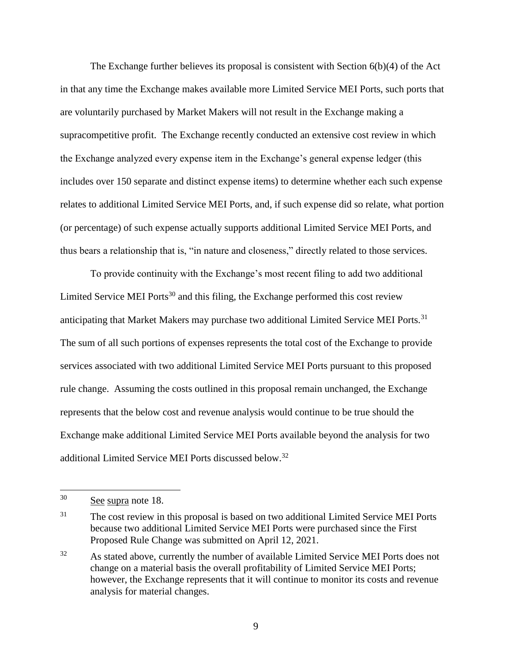The Exchange further believes its proposal is consistent with Section 6(b)(4) of the Act in that any time the Exchange makes available more Limited Service MEI Ports, such ports that are voluntarily purchased by Market Makers will not result in the Exchange making a supracompetitive profit. The Exchange recently conducted an extensive cost review in which the Exchange analyzed every expense item in the Exchange's general expense ledger (this includes over 150 separate and distinct expense items) to determine whether each such expense relates to additional Limited Service MEI Ports, and, if such expense did so relate, what portion (or percentage) of such expense actually supports additional Limited Service MEI Ports, and thus bears a relationship that is, "in nature and closeness," directly related to those services.

To provide continuity with the Exchange's most recent filing to add two additional Limited Service MEI Ports<sup>30</sup> and this filing, the Exchange performed this cost review anticipating that Market Makers may purchase two additional Limited Service MEI Ports.<sup>31</sup> The sum of all such portions of expenses represents the total cost of the Exchange to provide services associated with two additional Limited Service MEI Ports pursuant to this proposed rule change. Assuming the costs outlined in this proposal remain unchanged, the Exchange represents that the below cost and revenue analysis would continue to be true should the Exchange make additional Limited Service MEI Ports available beyond the analysis for two additional Limited Service MEI Ports discussed below.<sup>32</sup>

 $30<sup>°</sup>$ See supra note 18.

<sup>&</sup>lt;sup>31</sup> The cost review in this proposal is based on two additional Limited Service MEI Ports because two additional Limited Service MEI Ports were purchased since the First Proposed Rule Change was submitted on April 12, 2021.

<sup>&</sup>lt;sup>32</sup> As stated above, currently the number of available Limited Service MEI Ports does not change on a material basis the overall profitability of Limited Service MEI Ports; however, the Exchange represents that it will continue to monitor its costs and revenue analysis for material changes.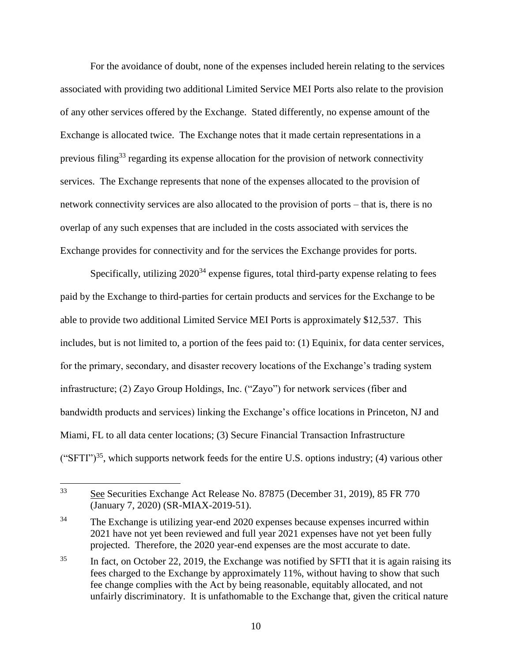For the avoidance of doubt, none of the expenses included herein relating to the services associated with providing two additional Limited Service MEI Ports also relate to the provision of any other services offered by the Exchange. Stated differently, no expense amount of the Exchange is allocated twice. The Exchange notes that it made certain representations in a previous filing<sup>33</sup> regarding its expense allocation for the provision of network connectivity services. The Exchange represents that none of the expenses allocated to the provision of network connectivity services are also allocated to the provision of ports – that is, there is no overlap of any such expenses that are included in the costs associated with services the Exchange provides for connectivity and for the services the Exchange provides for ports.

Specifically, utilizing  $2020^{34}$  expense figures, total third-party expense relating to fees paid by the Exchange to third-parties for certain products and services for the Exchange to be able to provide two additional Limited Service MEI Ports is approximately \$12,537. This includes, but is not limited to, a portion of the fees paid to: (1) Equinix, for data center services, for the primary, secondary, and disaster recovery locations of the Exchange's trading system infrastructure; (2) Zayo Group Holdings, Inc. ("Zayo") for network services (fiber and bandwidth products and services) linking the Exchange's office locations in Princeton, NJ and Miami, FL to all data center locations; (3) Secure Financial Transaction Infrastructure ("SFTI")<sup>35</sup>, which supports network feeds for the entire U.S. options industry; (4) various other

<sup>33</sup> <sup>33</sup> See Securities Exchange Act Release No. 87875 (December 31, 2019), 85 FR 770 (January 7, 2020) (SR-MIAX-2019-51).

<sup>&</sup>lt;sup>34</sup> The Exchange is utilizing year-end 2020 expenses because expenses incurred within 2021 have not yet been reviewed and full year 2021 expenses have not yet been fully projected. Therefore, the 2020 year-end expenses are the most accurate to date.

<sup>&</sup>lt;sup>35</sup> In fact, on October 22, 2019, the Exchange was notified by SFTI that it is again raising its fees charged to the Exchange by approximately 11%, without having to show that such fee change complies with the Act by being reasonable, equitably allocated, and not unfairly discriminatory. It is unfathomable to the Exchange that, given the critical nature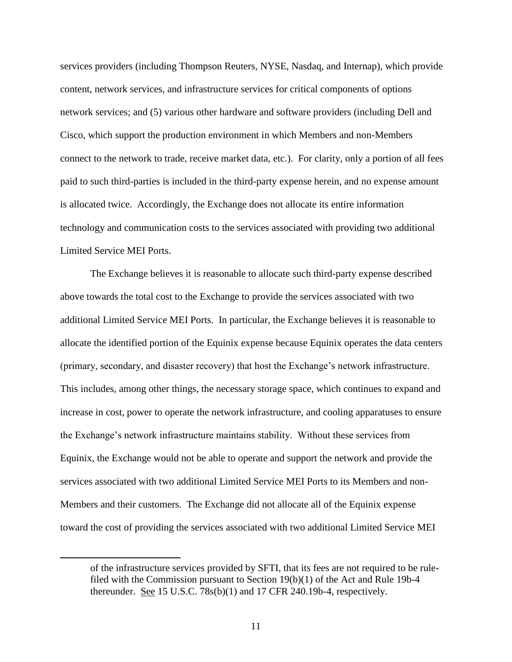services providers (including Thompson Reuters, NYSE, Nasdaq, and Internap), which provide content, network services, and infrastructure services for critical components of options network services; and (5) various other hardware and software providers (including Dell and Cisco, which support the production environment in which Members and non-Members connect to the network to trade, receive market data, etc.). For clarity, only a portion of all fees paid to such third-parties is included in the third-party expense herein, and no expense amount is allocated twice. Accordingly, the Exchange does not allocate its entire information technology and communication costs to the services associated with providing two additional Limited Service MEI Ports.

The Exchange believes it is reasonable to allocate such third-party expense described above towards the total cost to the Exchange to provide the services associated with two additional Limited Service MEI Ports. In particular, the Exchange believes it is reasonable to allocate the identified portion of the Equinix expense because Equinix operates the data centers (primary, secondary, and disaster recovery) that host the Exchange's network infrastructure. This includes, among other things, the necessary storage space, which continues to expand and increase in cost, power to operate the network infrastructure, and cooling apparatuses to ensure the Exchange's network infrastructure maintains stability. Without these services from Equinix, the Exchange would not be able to operate and support the network and provide the services associated with two additional Limited Service MEI Ports to its Members and non-Members and their customers. The Exchange did not allocate all of the Equinix expense toward the cost of providing the services associated with two additional Limited Service MEI

 $\overline{a}$ 

of the infrastructure services provided by SFTI, that its fees are not required to be rulefiled with the Commission pursuant to Section 19(b)(1) of the Act and Rule 19b-4 thereunder. See 15 U.S.C. 78s(b)(1) and 17 CFR 240.19b-4, respectively.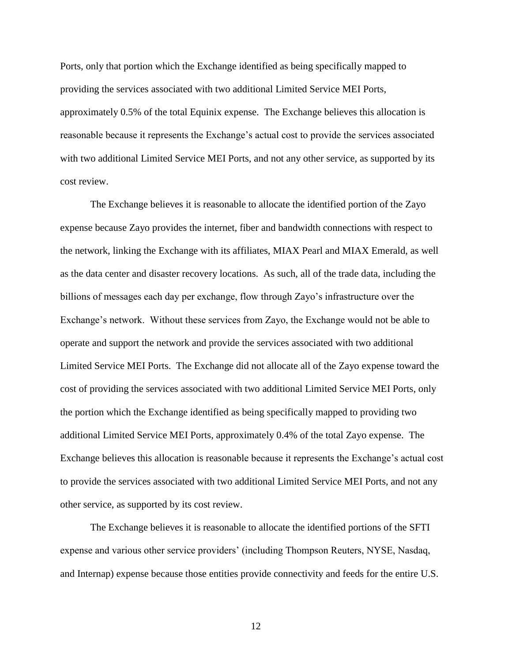Ports, only that portion which the Exchange identified as being specifically mapped to providing the services associated with two additional Limited Service MEI Ports, approximately 0.5% of the total Equinix expense. The Exchange believes this allocation is reasonable because it represents the Exchange's actual cost to provide the services associated with two additional Limited Service MEI Ports, and not any other service, as supported by its cost review.

The Exchange believes it is reasonable to allocate the identified portion of the Zayo expense because Zayo provides the internet, fiber and bandwidth connections with respect to the network, linking the Exchange with its affiliates, MIAX Pearl and MIAX Emerald, as well as the data center and disaster recovery locations. As such, all of the trade data, including the billions of messages each day per exchange, flow through Zayo's infrastructure over the Exchange's network. Without these services from Zayo, the Exchange would not be able to operate and support the network and provide the services associated with two additional Limited Service MEI Ports. The Exchange did not allocate all of the Zayo expense toward the cost of providing the services associated with two additional Limited Service MEI Ports, only the portion which the Exchange identified as being specifically mapped to providing two additional Limited Service MEI Ports, approximately 0.4% of the total Zayo expense. The Exchange believes this allocation is reasonable because it represents the Exchange's actual cost to provide the services associated with two additional Limited Service MEI Ports, and not any other service, as supported by its cost review.

The Exchange believes it is reasonable to allocate the identified portions of the SFTI expense and various other service providers' (including Thompson Reuters, NYSE, Nasdaq, and Internap) expense because those entities provide connectivity and feeds for the entire U.S.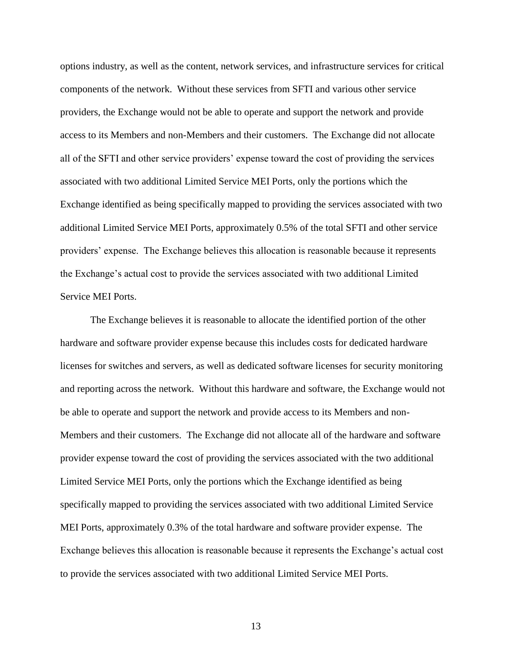options industry, as well as the content, network services, and infrastructure services for critical components of the network. Without these services from SFTI and various other service providers, the Exchange would not be able to operate and support the network and provide access to its Members and non-Members and their customers. The Exchange did not allocate all of the SFTI and other service providers' expense toward the cost of providing the services associated with two additional Limited Service MEI Ports, only the portions which the Exchange identified as being specifically mapped to providing the services associated with two additional Limited Service MEI Ports, approximately 0.5% of the total SFTI and other service providers' expense. The Exchange believes this allocation is reasonable because it represents the Exchange's actual cost to provide the services associated with two additional Limited Service MEI Ports.

The Exchange believes it is reasonable to allocate the identified portion of the other hardware and software provider expense because this includes costs for dedicated hardware licenses for switches and servers, as well as dedicated software licenses for security monitoring and reporting across the network. Without this hardware and software, the Exchange would not be able to operate and support the network and provide access to its Members and non-Members and their customers. The Exchange did not allocate all of the hardware and software provider expense toward the cost of providing the services associated with the two additional Limited Service MEI Ports, only the portions which the Exchange identified as being specifically mapped to providing the services associated with two additional Limited Service MEI Ports, approximately 0.3% of the total hardware and software provider expense. The Exchange believes this allocation is reasonable because it represents the Exchange's actual cost to provide the services associated with two additional Limited Service MEI Ports.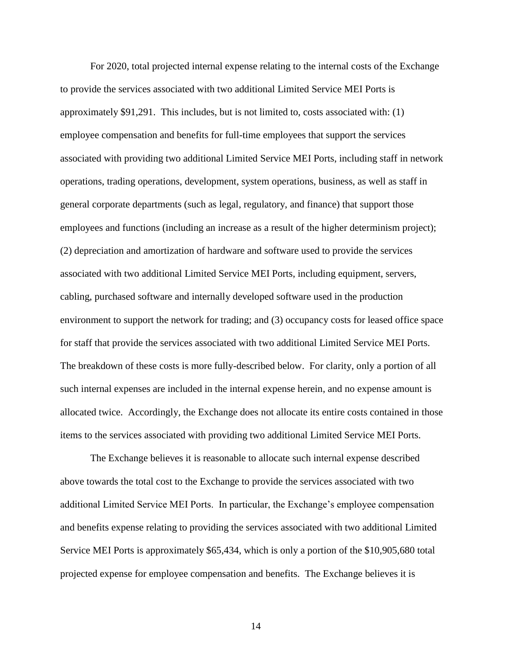For 2020, total projected internal expense relating to the internal costs of the Exchange to provide the services associated with two additional Limited Service MEI Ports is approximately \$91,291. This includes, but is not limited to, costs associated with: (1) employee compensation and benefits for full-time employees that support the services associated with providing two additional Limited Service MEI Ports, including staff in network operations, trading operations, development, system operations, business, as well as staff in general corporate departments (such as legal, regulatory, and finance) that support those employees and functions (including an increase as a result of the higher determinism project); (2) depreciation and amortization of hardware and software used to provide the services associated with two additional Limited Service MEI Ports, including equipment, servers, cabling, purchased software and internally developed software used in the production environment to support the network for trading; and (3) occupancy costs for leased office space for staff that provide the services associated with two additional Limited Service MEI Ports. The breakdown of these costs is more fully-described below. For clarity, only a portion of all such internal expenses are included in the internal expense herein, and no expense amount is allocated twice. Accordingly, the Exchange does not allocate its entire costs contained in those items to the services associated with providing two additional Limited Service MEI Ports.

The Exchange believes it is reasonable to allocate such internal expense described above towards the total cost to the Exchange to provide the services associated with two additional Limited Service MEI Ports. In particular, the Exchange's employee compensation and benefits expense relating to providing the services associated with two additional Limited Service MEI Ports is approximately \$65,434, which is only a portion of the \$10,905,680 total projected expense for employee compensation and benefits. The Exchange believes it is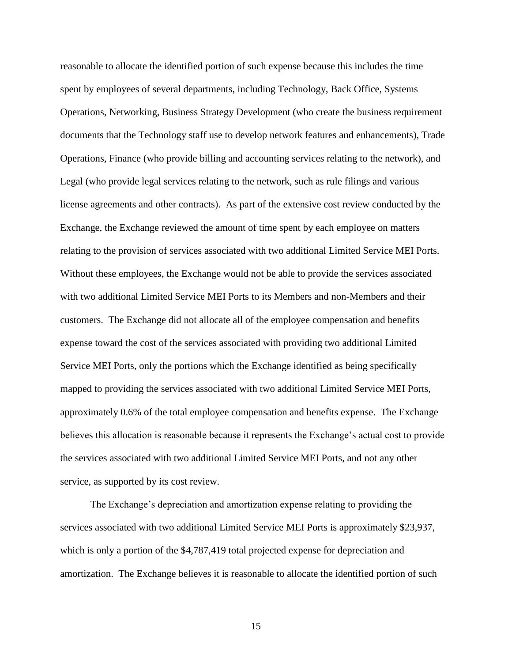reasonable to allocate the identified portion of such expense because this includes the time spent by employees of several departments, including Technology, Back Office, Systems Operations, Networking, Business Strategy Development (who create the business requirement documents that the Technology staff use to develop network features and enhancements), Trade Operations, Finance (who provide billing and accounting services relating to the network), and Legal (who provide legal services relating to the network, such as rule filings and various license agreements and other contracts). As part of the extensive cost review conducted by the Exchange, the Exchange reviewed the amount of time spent by each employee on matters relating to the provision of services associated with two additional Limited Service MEI Ports. Without these employees, the Exchange would not be able to provide the services associated with two additional Limited Service MEI Ports to its Members and non-Members and their customers. The Exchange did not allocate all of the employee compensation and benefits expense toward the cost of the services associated with providing two additional Limited Service MEI Ports, only the portions which the Exchange identified as being specifically mapped to providing the services associated with two additional Limited Service MEI Ports, approximately 0.6% of the total employee compensation and benefits expense. The Exchange believes this allocation is reasonable because it represents the Exchange's actual cost to provide the services associated with two additional Limited Service MEI Ports, and not any other service, as supported by its cost review.

The Exchange's depreciation and amortization expense relating to providing the services associated with two additional Limited Service MEI Ports is approximately \$23,937, which is only a portion of the \$4,787,419 total projected expense for depreciation and amortization. The Exchange believes it is reasonable to allocate the identified portion of such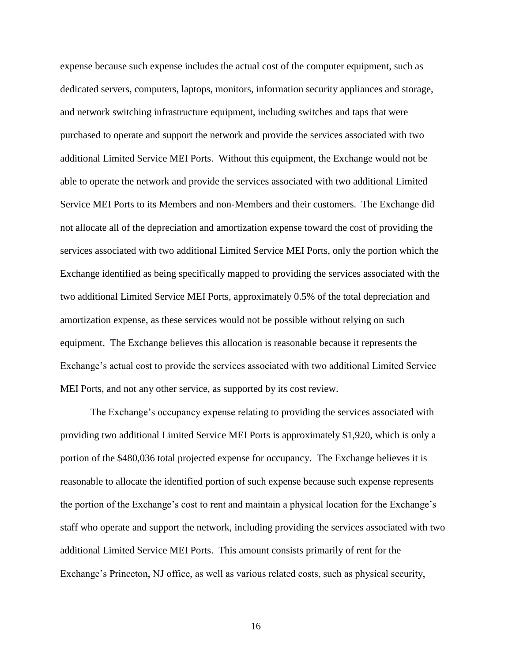expense because such expense includes the actual cost of the computer equipment, such as dedicated servers, computers, laptops, monitors, information security appliances and storage, and network switching infrastructure equipment, including switches and taps that were purchased to operate and support the network and provide the services associated with two additional Limited Service MEI Ports. Without this equipment, the Exchange would not be able to operate the network and provide the services associated with two additional Limited Service MEI Ports to its Members and non-Members and their customers. The Exchange did not allocate all of the depreciation and amortization expense toward the cost of providing the services associated with two additional Limited Service MEI Ports, only the portion which the Exchange identified as being specifically mapped to providing the services associated with the two additional Limited Service MEI Ports, approximately 0.5% of the total depreciation and amortization expense, as these services would not be possible without relying on such equipment. The Exchange believes this allocation is reasonable because it represents the Exchange's actual cost to provide the services associated with two additional Limited Service MEI Ports, and not any other service, as supported by its cost review.

The Exchange's occupancy expense relating to providing the services associated with providing two additional Limited Service MEI Ports is approximately \$1,920, which is only a portion of the \$480,036 total projected expense for occupancy. The Exchange believes it is reasonable to allocate the identified portion of such expense because such expense represents the portion of the Exchange's cost to rent and maintain a physical location for the Exchange's staff who operate and support the network, including providing the services associated with two additional Limited Service MEI Ports. This amount consists primarily of rent for the Exchange's Princeton, NJ office, as well as various related costs, such as physical security,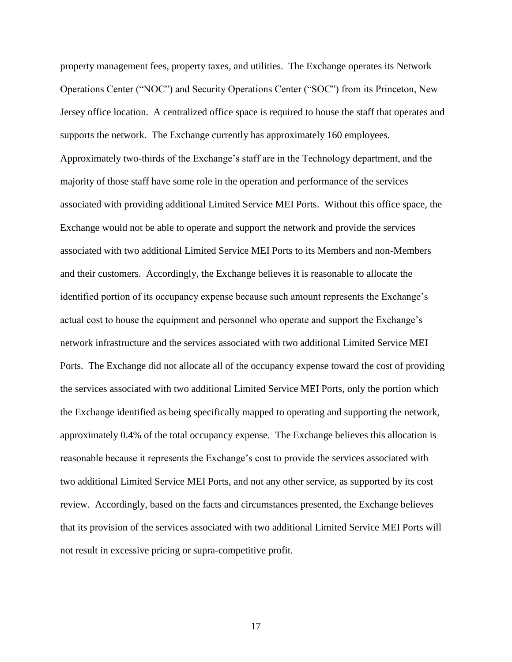property management fees, property taxes, and utilities. The Exchange operates its Network Operations Center ("NOC") and Security Operations Center ("SOC") from its Princeton, New Jersey office location. A centralized office space is required to house the staff that operates and supports the network. The Exchange currently has approximately 160 employees. Approximately two-thirds of the Exchange's staff are in the Technology department, and the majority of those staff have some role in the operation and performance of the services associated with providing additional Limited Service MEI Ports. Without this office space, the Exchange would not be able to operate and support the network and provide the services associated with two additional Limited Service MEI Ports to its Members and non-Members and their customers. Accordingly, the Exchange believes it is reasonable to allocate the identified portion of its occupancy expense because such amount represents the Exchange's actual cost to house the equipment and personnel who operate and support the Exchange's network infrastructure and the services associated with two additional Limited Service MEI Ports. The Exchange did not allocate all of the occupancy expense toward the cost of providing the services associated with two additional Limited Service MEI Ports, only the portion which the Exchange identified as being specifically mapped to operating and supporting the network, approximately 0.4% of the total occupancy expense. The Exchange believes this allocation is reasonable because it represents the Exchange's cost to provide the services associated with two additional Limited Service MEI Ports, and not any other service, as supported by its cost review. Accordingly, based on the facts and circumstances presented, the Exchange believes that its provision of the services associated with two additional Limited Service MEI Ports will not result in excessive pricing or supra-competitive profit.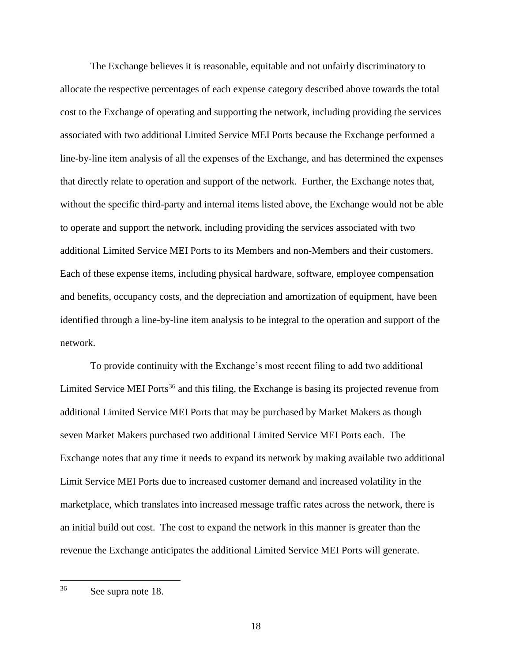The Exchange believes it is reasonable, equitable and not unfairly discriminatory to allocate the respective percentages of each expense category described above towards the total cost to the Exchange of operating and supporting the network, including providing the services associated with two additional Limited Service MEI Ports because the Exchange performed a line-by-line item analysis of all the expenses of the Exchange, and has determined the expenses that directly relate to operation and support of the network. Further, the Exchange notes that, without the specific third-party and internal items listed above, the Exchange would not be able to operate and support the network, including providing the services associated with two additional Limited Service MEI Ports to its Members and non-Members and their customers. Each of these expense items, including physical hardware, software, employee compensation and benefits, occupancy costs, and the depreciation and amortization of equipment, have been identified through a line-by-line item analysis to be integral to the operation and support of the network.

To provide continuity with the Exchange's most recent filing to add two additional Limited Service MEI Ports<sup>36</sup> and this filing, the Exchange is basing its projected revenue from additional Limited Service MEI Ports that may be purchased by Market Makers as though seven Market Makers purchased two additional Limited Service MEI Ports each. The Exchange notes that any time it needs to expand its network by making available two additional Limit Service MEI Ports due to increased customer demand and increased volatility in the marketplace, which translates into increased message traffic rates across the network, there is an initial build out cost. The cost to expand the network in this manner is greater than the revenue the Exchange anticipates the additional Limited Service MEI Ports will generate.

<sup>36</sup> See supra note 18.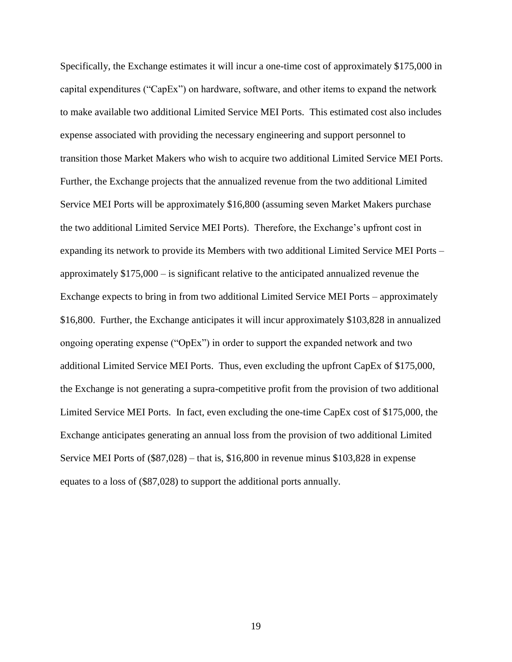Specifically, the Exchange estimates it will incur a one-time cost of approximately \$175,000 in capital expenditures ("CapEx") on hardware, software, and other items to expand the network to make available two additional Limited Service MEI Ports. This estimated cost also includes expense associated with providing the necessary engineering and support personnel to transition those Market Makers who wish to acquire two additional Limited Service MEI Ports. Further, the Exchange projects that the annualized revenue from the two additional Limited Service MEI Ports will be approximately \$16,800 (assuming seven Market Makers purchase the two additional Limited Service MEI Ports). Therefore, the Exchange's upfront cost in expanding its network to provide its Members with two additional Limited Service MEI Ports – approximately \$175,000 – is significant relative to the anticipated annualized revenue the Exchange expects to bring in from two additional Limited Service MEI Ports – approximately \$16,800. Further, the Exchange anticipates it will incur approximately \$103,828 in annualized ongoing operating expense ("OpEx") in order to support the expanded network and two additional Limited Service MEI Ports. Thus, even excluding the upfront CapEx of \$175,000, the Exchange is not generating a supra-competitive profit from the provision of two additional Limited Service MEI Ports. In fact, even excluding the one-time CapEx cost of \$175,000, the Exchange anticipates generating an annual loss from the provision of two additional Limited Service MEI Ports of (\$87,028) – that is, \$16,800 in revenue minus \$103,828 in expense equates to a loss of (\$87,028) to support the additional ports annually.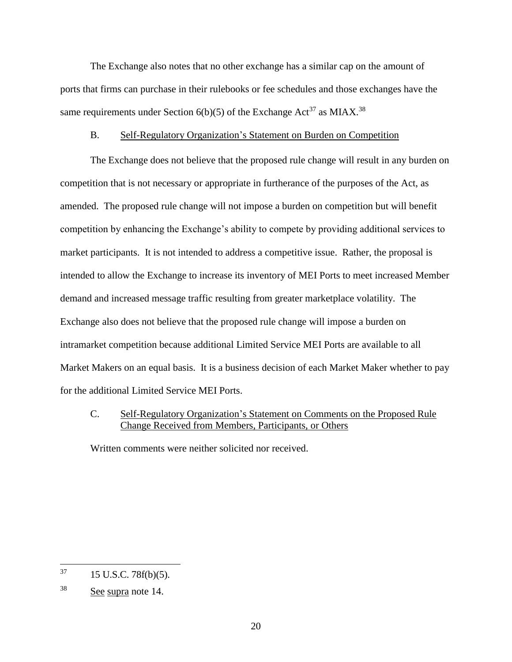The Exchange also notes that no other exchange has a similar cap on the amount of ports that firms can purchase in their rulebooks or fee schedules and those exchanges have the same requirements under Section 6(b)(5) of the Exchange Act<sup>37</sup> as MIAX.<sup>38</sup>

#### B. Self-Regulatory Organization's Statement on Burden on Competition

The Exchange does not believe that the proposed rule change will result in any burden on competition that is not necessary or appropriate in furtherance of the purposes of the Act, as amended. The proposed rule change will not impose a burden on competition but will benefit competition by enhancing the Exchange's ability to compete by providing additional services to market participants. It is not intended to address a competitive issue. Rather, the proposal is intended to allow the Exchange to increase its inventory of MEI Ports to meet increased Member demand and increased message traffic resulting from greater marketplace volatility. The Exchange also does not believe that the proposed rule change will impose a burden on intramarket competition because additional Limited Service MEI Ports are available to all Market Makers on an equal basis. It is a business decision of each Market Maker whether to pay for the additional Limited Service MEI Ports.

# C. Self-Regulatory Organization's Statement on Comments on the Proposed Rule Change Received from Members, Participants, or Others

Written comments were neither solicited nor received.

<sup>37</sup> <sup>37</sup> 15 U.S.C. 78f(b)(5).

<sup>38</sup> See supra note 14.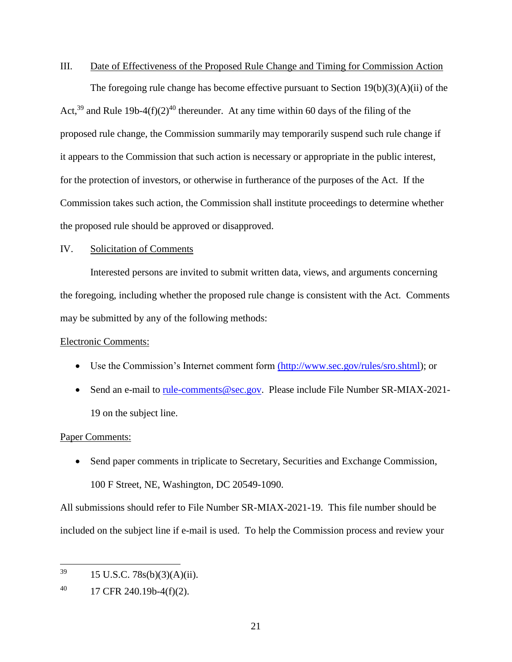#### III. Date of Effectiveness of the Proposed Rule Change and Timing for Commission Action

The foregoing rule change has become effective pursuant to Section 19(b)(3)(A)(ii) of the Act,<sup>39</sup> and Rule 19b-4(f)(2)<sup>40</sup> thereunder. At any time within 60 days of the filing of the proposed rule change, the Commission summarily may temporarily suspend such rule change if it appears to the Commission that such action is necessary or appropriate in the public interest, for the protection of investors, or otherwise in furtherance of the purposes of the Act. If the Commission takes such action, the Commission shall institute proceedings to determine whether the proposed rule should be approved or disapproved.

### IV. Solicitation of Comments

Interested persons are invited to submit written data, views, and arguments concerning the foregoing, including whether the proposed rule change is consistent with the Act. Comments may be submitted by any of the following methods:

### Electronic Comments:

- Use the Commission's Internet comment form [\(http://www.sec.gov/rules/sro.shtml\);](http://www.sec.gov/rules/sro.shtml);) or
- Send an e-mail [to](mailto:to_rule-comments@sec.gov) rule-comments@sec.gov. Please include File Number SR-MIAX-2021-19 on the subject line.

#### Paper Comments:

• Send paper comments in triplicate to Secretary, Securities and Exchange Commission, 100 F Street, NE, Washington, DC 20549-1090.

All submissions should refer to File Number SR-MIAX-2021-19. This file number should be included on the subject line if e-mail is used. To help the Commission process and review your

<sup>39</sup> 15 U.S.C. 78s(b)(3)(A)(ii).

 $^{40}$  17 CFR 240.19b-4(f)(2).